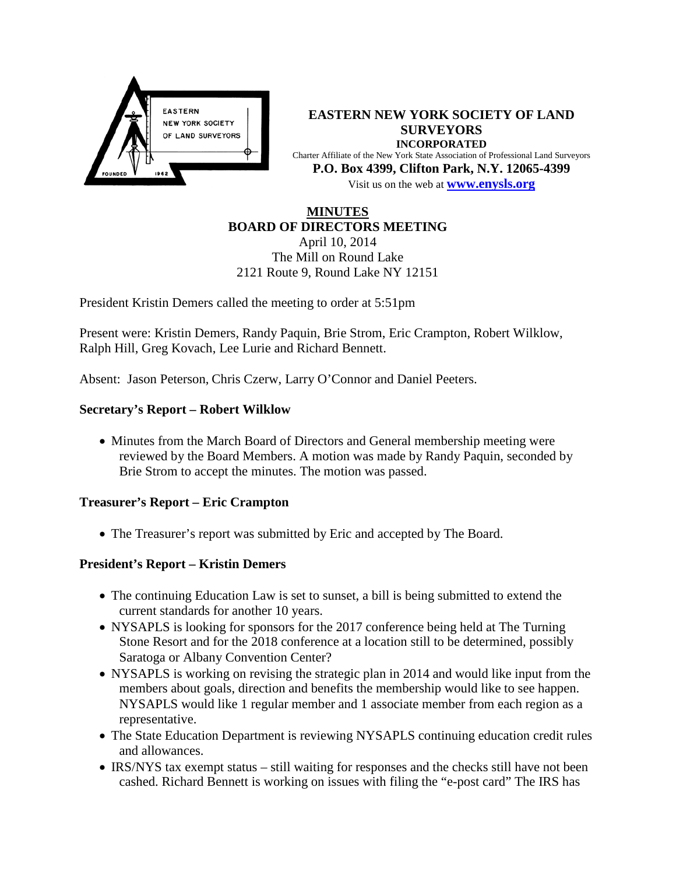

**EASTERN NEW YORK SOCIETY OF LAND SURVEYORS INCORPORATED** Charter Affiliate of the New York State Association of Professional Land Surveyors **P.O. Box 4399, Clifton Park, N.Y. 12065-4399** Visit us on the web at **[www.e](http://www.enysls.org/)nysls.org**

#### **MINUTES BOARD OF DIRECTORS MEETING**

April 10, 2014 The Mill on Round Lake 2121 Route 9, Round Lake NY 12151

President Kristin Demers called the meeting to order at 5:51pm

Present were: Kristin Demers, Randy Paquin, Brie Strom, Eric Crampton, Robert Wilklow, Ralph Hill, Greg Kovach, Lee Lurie and Richard Bennett.

Absent: Jason Peterson, Chris Czerw, Larry O'Connor and Daniel Peeters.

### **Secretary's Report – Robert Wilklow**

• Minutes from the March Board of Directors and General membership meeting were reviewed by the Board Members. A motion was made by Randy Paquin, seconded by Brie Strom to accept the minutes. The motion was passed.

#### **Treasurer's Report – Eric Crampton**

• The Treasurer's report was submitted by Eric and accepted by The Board.

## **President's Report – Kristin Demers**

- The continuing Education Law is set to sunset, a bill is being submitted to extend the current standards for another 10 years.
- NYSAPLS is looking for sponsors for the 2017 conference being held at The Turning Stone Resort and for the 2018 conference at a location still to be determined, possibly Saratoga or Albany Convention Center?
- NYSAPLS is working on revising the strategic plan in 2014 and would like input from the members about goals, direction and benefits the membership would like to see happen. NYSAPLS would like 1 regular member and 1 associate member from each region as a representative.
- The State Education Department is reviewing NYSAPLS continuing education credit rules and allowances.
- IRS/NYS tax exempt status still waiting for responses and the checks still have not been cashed. Richard Bennett is working on issues with filing the "e-post card" The IRS has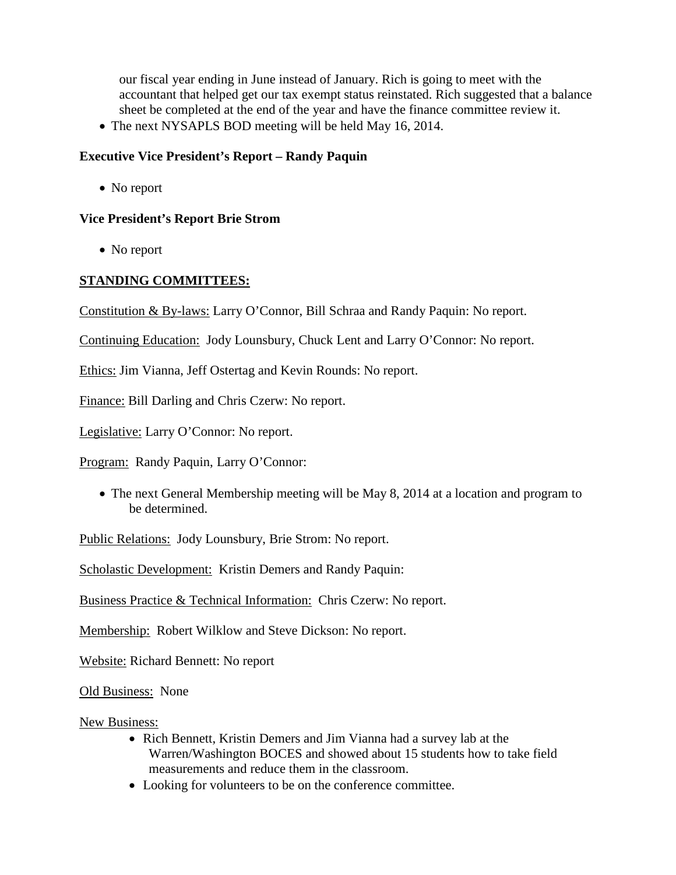our fiscal year ending in June instead of January. Rich is going to meet with the accountant that helped get our tax exempt status reinstated. Rich suggested that a balance sheet be completed at the end of the year and have the finance committee review it.

• The next NYSAPLS BOD meeting will be held May 16, 2014.

## **Executive Vice President's Report – Randy Paquin**

• No report

## **Vice President's Report Brie Strom**

• No report

# **STANDING COMMITTEES:**

Constitution & By-laws: Larry O'Connor, Bill Schraa and Randy Paquin: No report.

Continuing Education: Jody Lounsbury, Chuck Lent and Larry O'Connor: No report.

Ethics: Jim Vianna, Jeff Ostertag and Kevin Rounds: No report.

Finance: Bill Darling and Chris Czerw: No report.

Legislative: Larry O'Connor: No report.

Program: Randy Paquin, Larry O'Connor:

• The next General Membership meeting will be May 8, 2014 at a location and program to be determined.

Public Relations: Jody Lounsbury, Brie Strom: No report.

Scholastic Development: Kristin Demers and Randy Paquin:

Business Practice & Technical Information: Chris Czerw: No report.

Membership: Robert Wilklow and Steve Dickson: No report.

Website: Richard Bennett: No report

Old Business: None

New Business:

- Rich Bennett, Kristin Demers and Jim Vianna had a survey lab at the Warren/Washington BOCES and showed about 15 students how to take field measurements and reduce them in the classroom.
- Looking for volunteers to be on the conference committee.